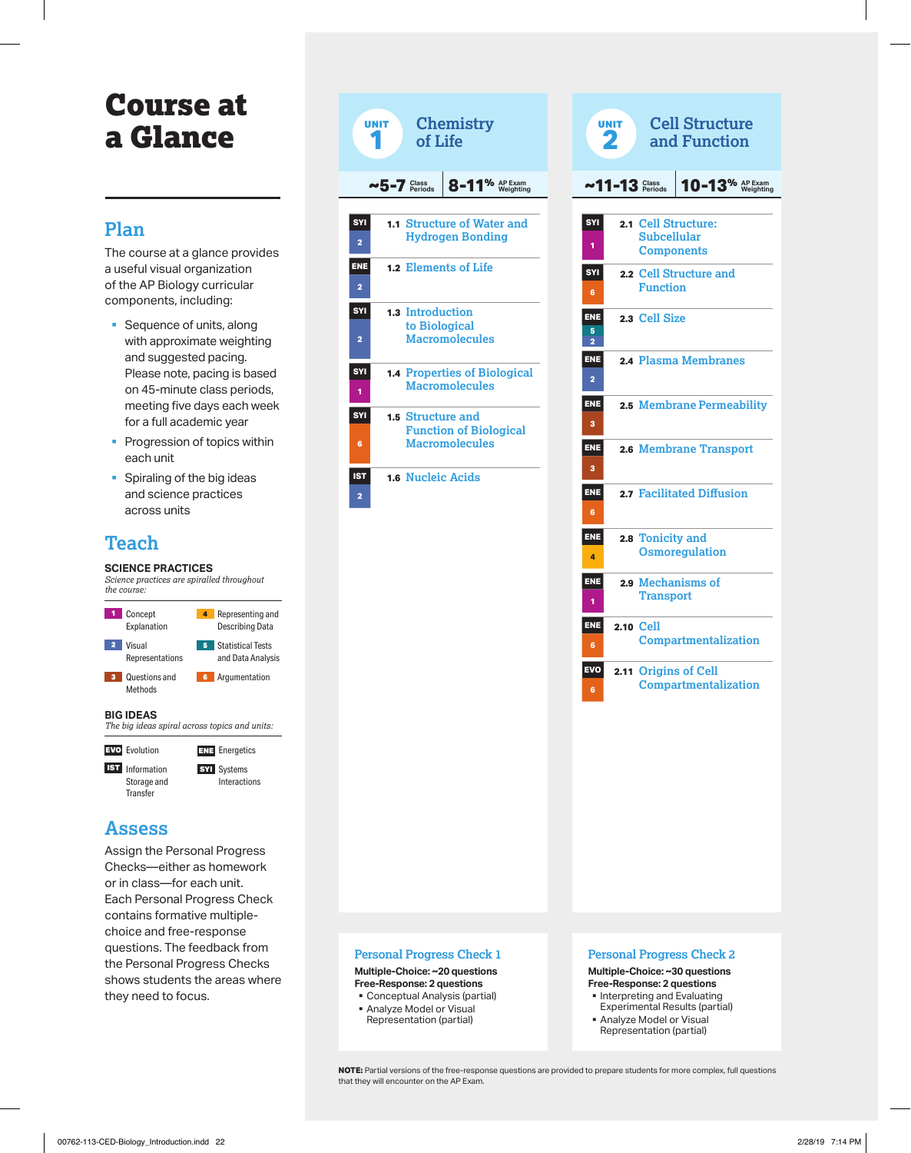# Course at a Glance

## **Plan**

The course at a glance provides a useful visual organization of the AP Biology curricular components, including:

- Sequence of units, along with approximate weighting and suggested pacing. Please note, pacing is based on 45-minute class periods, meeting five days each week for a full academic year
- Progression of topics within each unit
- § Spiraling of the big ideas and science practices across units

## **Teach**

### **SCIENCE PRACTICES**



## **Assess**

Assign the Personal Progress Checks—either as homework or in class—for each unit. Each Personal Progress Check contains formative multiplechoice and free-response questions. The feedback from the Personal Progress Checks shows students the areas where they need to focus.



| <b>Cell Structure</b><br><b>UNIT</b><br>2<br>and Function                        |
|----------------------------------------------------------------------------------|
| $10-13%$ AP Exam<br>$~11$ -13 Class                                              |
| <b>SYI</b><br>2.1 Cell Structure:<br>Subcellular<br>1<br><b>Components</b>       |
| 2.2 Cell Structure and<br><b>SYI</b><br><b>Function</b><br>6                     |
| ENE<br>2.3 Cell Size<br>5<br>$\overline{a}$                                      |
| <b>ENE</b><br>2.4 Plasma Membranes<br>2                                          |
| <b>ENE</b><br>2.5 Membrane Permeability<br>3                                     |
| <b>ENE</b><br>2.6 Membrane Transport<br>3                                        |
| 2.7 Facilitated Diffusion<br><b>ENE</b><br>6                                     |
| <b>ENE</b><br>2.8 Tonicity and<br><b>Osmoregulation</b><br>4                     |
| <b>ENE</b><br>2.9 Mechanisms of<br><b>Transport</b><br>1                         |
| <b>ENE</b><br>2.10 Cell<br><b>Compartmentalization</b><br>6                      |
| <b>EVO</b><br><b>Origins of Cell</b><br>2.11<br><b>Compartmentalization</b><br>6 |
|                                                                                  |
|                                                                                  |
|                                                                                  |
|                                                                                  |

## **Personal Progress Check 1**

**Multiple-Choice: ~20 questions Free-Response: 2 questions**

- Conceptual Analysis (partial)
- § Analyze Model or Visual Representation (partial)

## **Personal Progress Check 2**

**Multiple-Choice: ~30 questions Free-Response: 2 questions** § Interpreting and Evaluating

Experimental Results (partial) § Analyze Model or Visual

Representation (partial)

**NOTE:** Partial versions of the free-response questions are provided to prepare students for more complex, full questions that they will encounter on the AP Exam.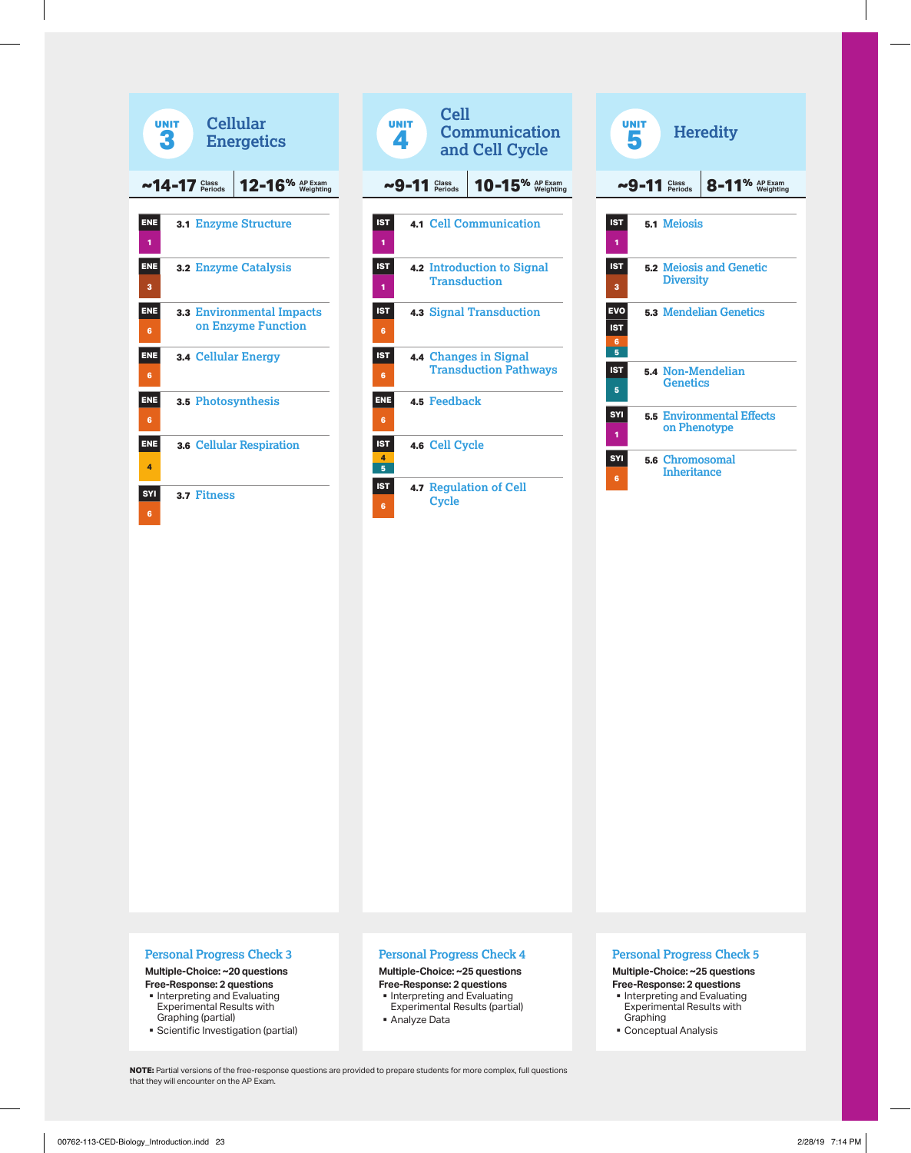





## **Personal Progress Check 3**

#### **Multiple-Choice: ~20 questions Free-Response: 2 questions**

- § Interpreting and Evaluating Experimental Results with Graphing (partial)
- § Scientific Investigation (partial)

## **Personal Progress Check 4**

## **Multiple-Choice: ~25 questions**

- **Free-Response: 2 questions** • Interpreting and Evaluating
- Experimental Results (partial) § Analyze Data

## **Personal Progress Check 5**

#### **Multiple-Choice: ~25 questions Free-Response: 2 questions**

- § Interpreting and Evaluating Experimental Results with Graphing
- § Conceptual Analysis

**NOTE:** Partial versions of the free-response questions are provided to prepare students for more complex, full questions that they will encounter on the AP Exam.